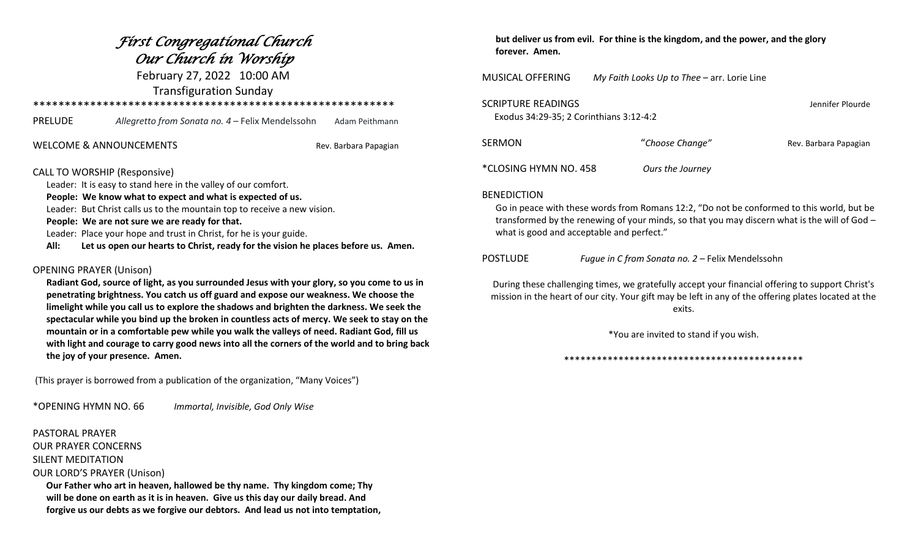## *First Congregational Church Our Church in Worship*

February 27, 2022 10:00 AM Transfiguration Sunday

\*\*\*\*\*\*\*\*\*\*\*\*\*\*\*\*\*\*\*\*\*\*\*\*\*\*\*\*\*\*\*\*\*\*\*\*\*\*\*\*\*\*\*\*\*\*\*\*\*\*\*\*\*\*\*\*\*

| PRELUDE | Allegretto from Sonata no. 4 – Felix Mendelssohn | Adam Peithmann |
|---------|--------------------------------------------------|----------------|
|---------|--------------------------------------------------|----------------|

WELCOME & ANNOUNCEMENTS THE REV. Barbara Papagian

### CALL TO WORSHIP (Responsive)

Leader: It is easy to stand here in the valley of our comfort.

**People: We know what to expect and what is expected of us.** 

Leader: But Christ calls us to the mountain top to receive a new vision.

**People: We are not sure we are ready for that.**

Leader: Place your hope and trust in Christ, for he is your guide.

**All: Let us open our hearts to Christ, ready for the vision he places before us. Amen.**

### OPENING PRAYER (Unison)

 **Radiant God, source of light, as you surrounded Jesus with your glory, so you come to us in penetrating brightness. You catch us off guard and expose our weakness. We choose the limelight while you call us to explore the shadows and brighten the darkness. We seek the spectacular while you bind up the broken in countless acts of mercy. We seek to stay on the mountain or in a comfortable pew while you walk the valleys of need. Radiant God, fill us with light and courage to carry good news into all the corners of the world and to bring back the joy of your presence. Amen.** 

(This prayer is borrowed from a publication of the organization, "Many Voices")

\*OPENING HYMN NO. 66 *Immortal, Invisible, God Only Wise*

### PASTORAL PRAYER OUR PRAYER CONCERNS SILENT MEDITATION OUR LORD'S PRAYER (Unison)

 **Our Father who art in heaven, hallowed be thy name. Thy kingdom come; Thy will be done on earth as it is in heaven. Give us this day our daily bread. And forgive us our debts as we forgive our debtors. And lead us not into temptation,**

### **but deliver us from evil. For thine is the kingdom, and the power, and the glory forever. Amen.**

MUSICAL OFFERING *My Faith Looks Up to Thee* – arr. Lorie Line

| SCRIPTURE READINGS<br>Exodus 34:29-35; 2 Corinthians 3:12-4:2 | Jennifer Plourde |                       |
|---------------------------------------------------------------|------------------|-----------------------|
| SERMON                                                        | "Choose Change"  | Rev. Barbara Papagian |
| *CLOSING HYMN NO. 458                                         | Ours the Journey |                       |

### BENEDICTION

 Go in peace with these words from Romans 12:2, "Do not be conformed to this world, but be transformed by the renewing of your minds, so that you may discern what is the will of God – what is good and acceptable and perfect."

POSTLUDE *Fugue in C from Sonata no. 2* – Felix Mendelssohn

During these challenging times, we gratefully accept your financial offering to support Christ's mission in the heart of our city. Your gift may be left in any of the offering plates located at the exits.

\*You are invited to stand if you wish.

### \*\*\*\*\*\*\*\*\*\*\*\*\*\*\*\*\*\*\*\*\*\*\*\*\*\*\*\*\*\*\*\*\*\*\*\*\*\*\*\*\*\*\*\*